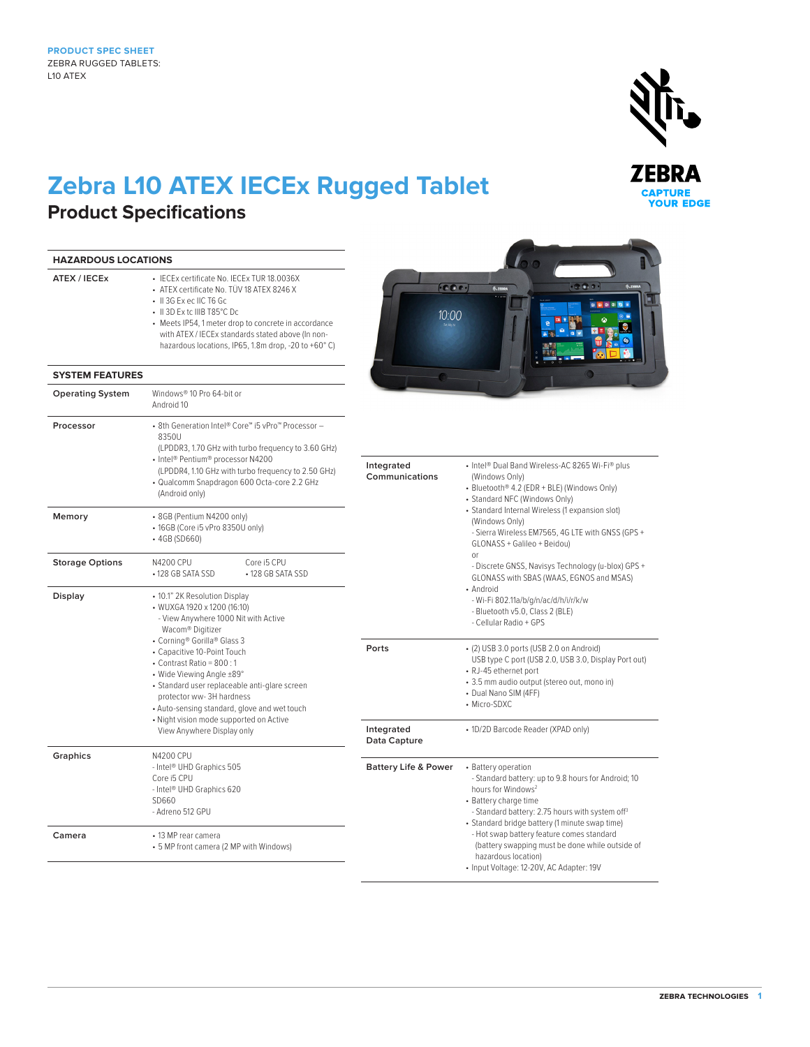## **Zebra L10 ATEX IECEx Rugged Tablet**

## **Product Specifications**

| <b>HAZARDOUS LOCATIONS</b>               |                                                                                                                                                                                                                                                                                                                           |                                     |                                                                                                                                                                                                                                                                                                                                                                                                                           |  |
|------------------------------------------|---------------------------------------------------------------------------------------------------------------------------------------------------------------------------------------------------------------------------------------------------------------------------------------------------------------------------|-------------------------------------|---------------------------------------------------------------------------------------------------------------------------------------------------------------------------------------------------------------------------------------------------------------------------------------------------------------------------------------------------------------------------------------------------------------------------|--|
| ATEX / IECEx                             | • IECEx certificate No. IECEx TUR 18.0036X<br>• ATEX certificate No. TÜV 18 ATEX 8246 X<br>• II 3G Exec IIC T6 Gc<br>• II 3D Ex tc IIIB T85°C Dc<br>• Meets IP54, 1 meter drop to concrete in accordance<br>with ATEX / IECEx standards stated above (In non-<br>hazardous locations, IP65, 1.8m drop, -20 to +60°C)      | [000]<br>10:00                      | .000.<br><b>M. ZERRA</b>                                                                                                                                                                                                                                                                                                                                                                                                  |  |
| <b>SYSTEM FEATURES</b>                   |                                                                                                                                                                                                                                                                                                                           |                                     |                                                                                                                                                                                                                                                                                                                                                                                                                           |  |
| <b>Operating System</b>                  | Windows® 10 Pro 64-bit or<br>Android 10                                                                                                                                                                                                                                                                                   |                                     |                                                                                                                                                                                                                                                                                                                                                                                                                           |  |
| Processor                                | • 8th Generation Intel® Core™ i5 vPro™ Processor -<br>8350U<br>(LPDDR3, 1.70 GHz with turbo frequency to 3.60 GHz)<br>• Intel® Pentium® processor N4200<br>(LPDDR4, 1.10 GHz with turbo frequency to 2.50 GHz)<br>· Qualcomm Snapdragon 600 Octa-core 2.2 GHz<br>(Android only)                                           | Integrated<br>Communications        | • Intel® Dual Band Wireless-AC 8265 Wi-Fi® plus<br>(Windows Only)<br>• Bluetooth® 4.2 (EDR + BLE) (Windows Only)<br>• Standard NFC (Windows Only)                                                                                                                                                                                                                                                                         |  |
| Memory                                   | • 8GB (Pentium N4200 only)<br>• 16GB (Core i5 vPro 8350U only)<br>• 4GB (SD660)                                                                                                                                                                                                                                           |                                     | • Standard Internal Wireless (1 expansion slot)<br>(Windows Only)<br>- Sierra Wireless EM7565, 4G LTE with GNSS (GPS +<br>GLONASS + Galileo + Beidou)                                                                                                                                                                                                                                                                     |  |
| <b>Storage Options</b><br><b>Display</b> | Core i5 CPU<br>N4200 CPU<br>• 128 GB SATA SSD<br>• 128 GB SATA SSD<br>• 10.1" 2K Resolution Display<br>• WUXGA 1920 x 1200 (16:10)<br>- View Anywhere 1000 Nit with Active<br>Wacom® Digitizer                                                                                                                            |                                     | <b>or</b><br>- Discrete GNSS, Navisys Technology (u-blox) GPS +<br>GLONASS with SBAS (WAAS, EGNOS and MSAS)<br>• Android<br>- Wi-Fi 802.11a/b/g/n/ac/d/h/i/r/k/w<br>- Bluetooth v5.0, Class 2 (BLE)<br>- Cellular Radio + GPS                                                                                                                                                                                             |  |
|                                          | • Corning® Gorilla® Glass 3<br>• Capacitive 10-Point Touch<br>• Contrast Ratio = 800:1<br>• Wide Viewing Angle ±89°<br>· Standard user replaceable anti-glare screen<br>protector ww-3H hardness<br>• Auto-sensing standard, glove and wet touch<br>• Night vision mode supported on Active<br>View Anywhere Display only | Ports<br>Integrated<br>Data Capture | • (2) USB 3.0 ports (USB 2.0 on Android)<br>USB type C port (USB 2.0, USB 3.0, Display Port out)<br>• RJ-45 ethernet port<br>· 3.5 mm audio output (stereo out, mono in)<br>• Dual Nano SIM (4FF)<br>• Micro-SDXC<br>• 1D/2D Barcode Reader (XPAD only)                                                                                                                                                                   |  |
| Graphics                                 | N4200 CPU<br>- Intel <sup>®</sup> UHD Graphics 505<br>Core i5 CPU<br>- Intel® UHD Graphics 620<br>SD660<br>- Adreno 512 GPU                                                                                                                                                                                               | <b>Battery Life &amp; Power</b>     | • Battery operation<br>- Standard battery: up to 9.8 hours for Android; 10<br>hours for Windows <sup>2</sup><br>• Battery charge time<br>- Standard battery: 2.75 hours with system off <sup>3</sup><br>· Standard bridge battery (1 minute swap time)<br>- Hot swap battery feature comes standard<br>(battery swapping must be done while outside of<br>hazardous location)<br>· Input Voltage: 12-20V, AC Adapter: 19V |  |
| Camera                                   | • 13 MP rear camera<br>• 5 MP front camera (2 MP with Windows)                                                                                                                                                                                                                                                            |                                     |                                                                                                                                                                                                                                                                                                                                                                                                                           |  |